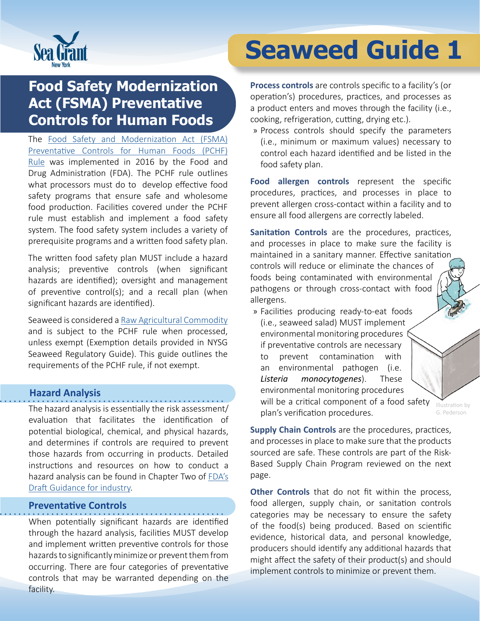

## **Food Safety Modernization Act (FSMA) Preventative Controls for Human Foods**

The [Food Safety and Modernization Act \(FSMA\)](https://www.fda.gov/food/food-safety-modernization-act-fsma/fsma-final-rule-preventive-controls-human-food)  [Preventative Controls for Human Foods \(PCHF\)](https://www.fda.gov/food/food-safety-modernization-act-fsma/fsma-final-rule-preventive-controls-human-food)  [Rule](https://www.fda.gov/food/food-safety-modernization-act-fsma/fsma-final-rule-preventive-controls-human-food) was implemented in 2016 by the Food and Drug Administration (FDA). The PCHF rule outlines what processors must do to develop effective food safety programs that ensure safe and wholesome food production. Facilities covered under the PCHF rule must establish and implement a food safety system. The food safety system includes a variety of prerequisite programs and a written food safety plan.

The written food safety plan MUST include a hazard analysis; preventive controls (when significant hazards are identified); oversight and management of preventive control(s); and a recall plan (when significant hazards are identified).

Seaweed is considered a [Raw Agricultural Commodity](https://www.accessdata.fda.gov/scripts/cdrh/cfdocs/cfCFR/CFRSearch.cfm?CFRPart=112&showFR=1&subpartNode=21:2.0.1.1.12.1) and is subject to the PCHF rule when processed, unless exempt (Exemption details provided in NYSG Seaweed Regulatory Guide). This guide outlines the requirements of the PCHF rule, if not exempt.

#### **Hazard Analysis**

The hazard analysis is essentially the risk assessment/ evaluation that facilitates the identification of potential biological, chemical, and physical hazards, and determines if controls are required to prevent those hazards from occurring in products. Detailed instructions and resources on how to conduct a hazard analysis can be found in Chapter Two of [FDA's](https://www.fda.gov/media/99554/download)  [Draft Guidance](https://www.fda.gov/media/99554/download) for industry.

#### **Preventative Controls**

When potentially significant hazards are identified through the hazard analysis, facilities MUST develop and implement written preventive controls for those hazards to significantly minimize or prevent them from occurring. There are four categories of preventative controls that may be warranted depending on the facility.

# **Seaweed Guide 1**

**Process controls** are controls specific to a facility's (or operation's) procedures, practices, and processes as a product enters and moves through the facility (i.e., cooking, refrigeration, cutting, drying etc.).

» Process controls should specify the parameters (i.e., minimum or maximum values) necessary to control each hazard identified and be listed in the food safety plan.

**Food allergen controls** represent the specific procedures, practices, and processes in place to prevent allergen cross-contact within a facility and to ensure all food allergens are correctly labeled.

**Sanitation Controls** are the procedures, practices, and processes in place to make sure the facility is maintained in a sanitary manner. Effective sanitation controls will reduce or eliminate the chances of foods being contaminated with environmental pathogens or through cross-contact with food allergens.

» Facilities producing ready-to-eat foods (i.e., seaweed salad) MUST implement environmental monitoring procedures if preventative controls are necessary to prevent contamination with an environmental pathogen (i.e. *Listeria monocytogenes*). These environmental monitoring procedures will be a critical component of a food safety plan's verification procedures.

Illustration by G. Pederson

**Supply Chain Controls** are the procedures, practices, and processes in place to make sure that the products sourced are safe. These controls are part of the Risk-Based Supply Chain Program reviewed on the next page.

**Other Controls** that do not fit within the process, food allergen, supply chain, or sanitation controls categories may be necessary to ensure the safety of the food(s) being produced. Based on scientific evidence, historical data, and personal knowledge, producers should identify any additional hazards that might affect the safety of their product(s) and should implement controls to minimize or prevent them.